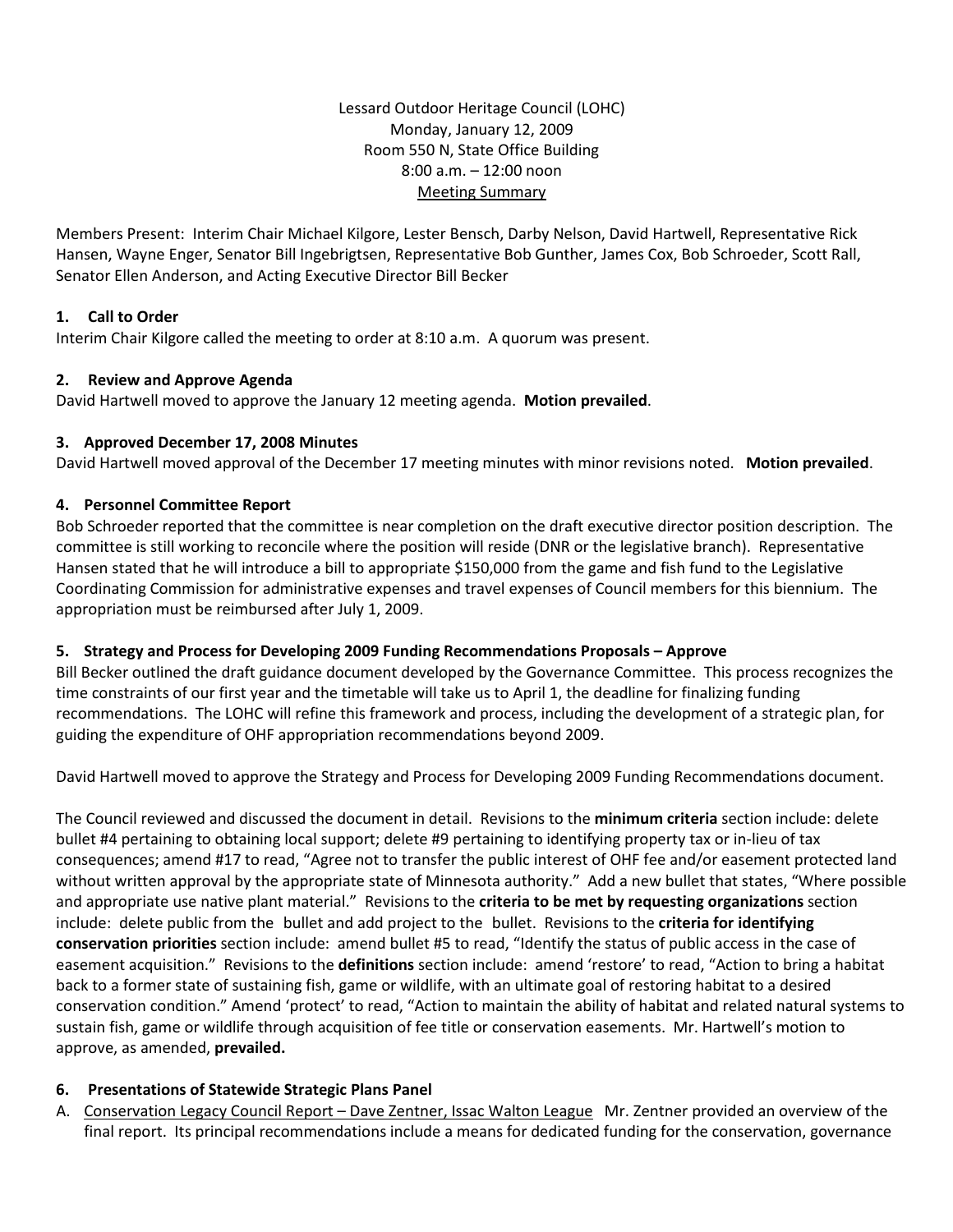Lessard Outdoor Heritage Council (LOHC) Monday, January 12, 2009 Room 550 N, State Office Building 8:00 a.m. – 12:00 noon Meeting Summary

Members Present: Interim Chair Michael Kilgore, Lester Bensch, Darby Nelson, David Hartwell, Representative Rick Hansen, Wayne Enger, Senator Bill Ingebrigtsen, Representative Bob Gunther, James Cox, Bob Schroeder, Scott Rall, Senator Ellen Anderson, and Acting Executive Director Bill Becker

# **1. Call to Order**

Interim Chair Kilgore called the meeting to order at 8:10 a.m. A quorum was present.

## **2. Review and Approve Agenda**

David Hartwell moved to approve the January 12 meeting agenda. **Motion prevailed**.

## **3. Approved December 17, 2008 Minutes**

David Hartwell moved approval of the December 17 meeting minutes with minor revisions noted. **Motion prevailed**.

## **4. Personnel Committee Report**

Bob Schroeder reported that the committee is near completion on the draft executive director position description. The committee is still working to reconcile where the position will reside (DNR or the legislative branch). Representative Hansen stated that he will introduce a bill to appropriate \$150,000 from the game and fish fund to the Legislative Coordinating Commission for administrative expenses and travel expenses of Council members for this biennium. The appropriation must be reimbursed after July 1, 2009.

# **5. Strategy and Process for Developing 2009 Funding Recommendations Proposals – Approve**

Bill Becker outlined the draft guidance document developed by the Governance Committee. This process recognizes the time constraints of our first year and the timetable will take us to April 1, the deadline for finalizing funding recommendations. The LOHC will refine this framework and process, including the development of a strategic plan, for guiding the expenditure of OHF appropriation recommendations beyond 2009.

David Hartwell moved to approve the Strategy and Process for Developing 2009 Funding Recommendations document.

The Council reviewed and discussed the document in detail. Revisions to the **minimum criteria** section include: delete bullet #4 pertaining to obtaining local support; delete #9 pertaining to identifying property tax or in-lieu of tax consequences; amend #17 to read, "Agree not to transfer the public interest of OHF fee and/or easement protected land without written approval by the appropriate state of Minnesota authority." Add a new bullet that states, "Where possible and appropriate use native plant material." Revisions to the **criteria to be met by requesting organizations** section include: delete public from the bullet and add project to the bullet. Revisions to the **criteria for identifying conservation priorities** section include: amend bullet #5 to read, "Identify the status of public access in the case of easement acquisition." Revisions to the **definitions** section include: amend 'restore' to read, "Action to bring a habitat back to a former state of sustaining fish, game or wildlife, with an ultimate goal of restoring habitat to a desired conservation condition." Amend 'protect' to read, "Action to maintain the ability of habitat and related natural systems to sustain fish, game or wildlife through acquisition of fee title or conservation easements. Mr. Hartwell's motion to approve, as amended, **prevailed.**

# **6. Presentations of Statewide Strategic Plans Panel**

A. Conservation Legacy Council Report – Dave Zentner, Issac Walton League Mr. Zentner provided an overview of the final report. Its principal recommendations include a means for dedicated funding for the conservation, governance